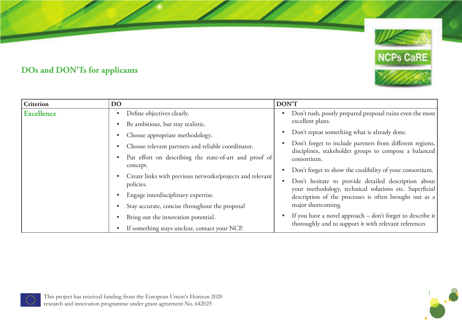

## **DOs and DON'Ts for applicants**

| <b>Criterion</b>  | <b>DO</b>                                                              | DON'T                                                                                                             |
|-------------------|------------------------------------------------------------------------|-------------------------------------------------------------------------------------------------------------------|
| <b>Excellence</b> | Define objectives clearly.<br>$\bullet$                                | Don't rush, poorly prepared proposal ruins even the most                                                          |
|                   | Be ambitious, but stay realistic.                                      | excellent plans.                                                                                                  |
|                   | Choose appropriate methodology.                                        | Don't repeat something what is already done.                                                                      |
|                   | Choose relevant partners and reliable coordinator.                     | Don't forget to include partners from different regions,<br>disciplines, stakeholder groups to compose a balanced |
|                   | Put effort on describing the state-of-art and proof of                 | consortium.                                                                                                       |
|                   | concept.                                                               | Don't forget to show the credibility of your consortium.                                                          |
|                   | Create links with previous networks/projects and relevant<br>policies. | Don't hesitate to provide detailed description about<br>your methodology, technical solutions etc. Superficial    |
|                   | Engage interdisciplinary expertise.                                    | description of the processes is often brought out as a                                                            |
|                   | Stay accurate, concise throughout the proposal                         | major shortcoming.                                                                                                |
|                   | Bring out the innovation potential.                                    | If you have a novel approach – don't forget to describe it                                                        |
|                   | If something stays unclear, contact your NCP.                          | thoroughly and to support it with relevant references                                                             |